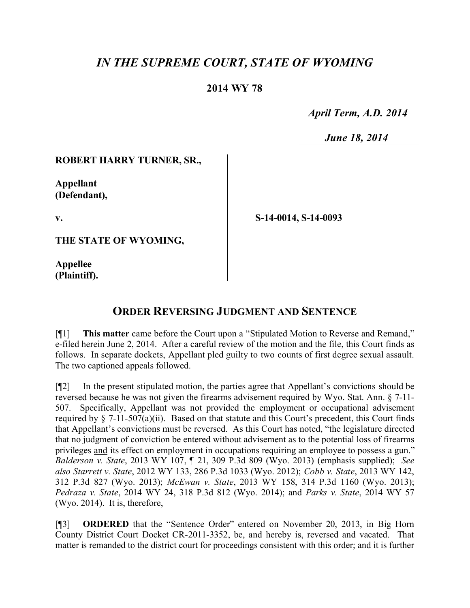# *IN THE SUPREME COURT, STATE OF WYOMING*

### **2014 WY 78**

 *April Term, A.D. 2014*

 *June 18, 2014*

### **ROBERT HARRY TURNER, SR.,**

**Appellant (Defendant),**

**v.**

**THE STATE OF WYOMING,**

**Appellee (Plaintiff).** **S-14-0014, S-14-0093**

## **ORDER REVERSING JUDGMENT AND SENTENCE**

[¶1] **This matter** came before the Court upon a "Stipulated Motion to Reverse and Remand," e-filed herein June 2, 2014. After a careful review of the motion and the file, this Court finds as follows. In separate dockets, Appellant pled guilty to two counts of first degree sexual assault. The two captioned appeals followed.

[¶2] In the present stipulated motion, the parties agree that Appellant's convictions should be reversed because he was not given the firearms advisement required by Wyo. Stat. Ann. § 7-11- 507. Specifically, Appellant was not provided the employment or occupational advisement required by  $\S$  7-11-507(a)(ii). Based on that statute and this Court's precedent, this Court finds that Appellant's convictions must be reversed. As this Court has noted, "the legislature directed that no judgment of conviction be entered without advisement as to the potential loss of firearms privileges and its effect on employment in occupations requiring an employee to possess a gun." *Balderson v. State*, 2013 WY 107, ¶ 21, 309 P.3d 809 (Wyo. 2013) (emphasis supplied); *See also Starrett v. State*, 2012 WY 133, 286 P.3d 1033 (Wyo. 2012); *Cobb v. State*, 2013 WY 142, 312 P.3d 827 (Wyo. 2013); *McEwan v. State*, 2013 WY 158, 314 P.3d 1160 (Wyo. 2013); *Pedraza v. State*, 2014 WY 24, 318 P.3d 812 (Wyo. 2014); and *Parks v. State*, 2014 WY 57 (Wyo. 2014). It is, therefore,

[¶3] **ORDERED** that the "Sentence Order" entered on November 20, 2013, in Big Horn County District Court Docket CR-2011-3352, be, and hereby is, reversed and vacated. That matter is remanded to the district court for proceedings consistent with this order; and it is further